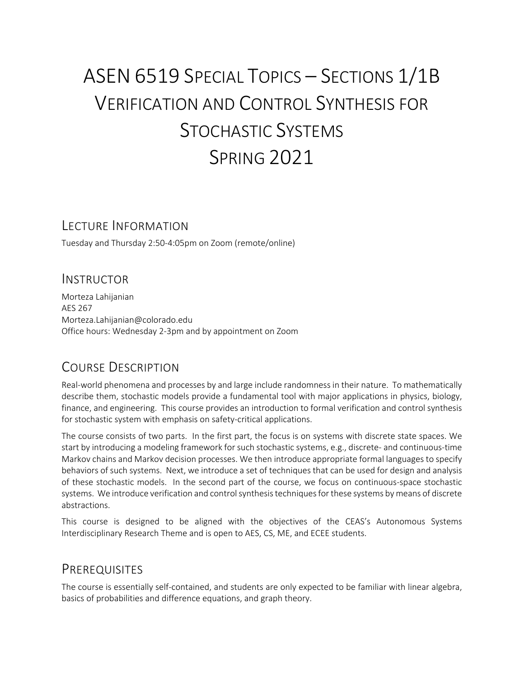# ASEN 6519 SPECIAL TOPICS – SECTIONS 1/1B VERIFICATION AND CONTROL SYNTHESIS FOR STOCHASTIC SYSTEMS SPRING 2021

#### LECTURE INFORMATION

Tuesday and Thursday 2:50-4:05pm on Zoom (remote/online)

#### INSTRUCTOR

Morteza Lahijanian AES 267 Morteza.Lahijanian@colorado.edu Office hours: Wednesday 2-3pm and by appointment on Zoom

## COURSE DESCRIPTION

Real-world phenomena and processes by and large include randomness in their nature. To mathematically describe them, stochastic models provide a fundamental tool with major applications in physics, biology, finance, and engineering. This course provides an introduction to formal verification and control synthesis for stochastic system with emphasis on safety-critical applications.

The course consists of two parts. In the first part, the focus is on systems with discrete state spaces. We start by introducing a modeling framework for such stochastic systems, e.g., discrete- and continuous-time Markov chains and Markov decision processes. We then introduce appropriate formal languages to specify behaviors of such systems. Next, we introduce a set of techniques that can be used for design and analysis of these stochastic models. In the second part of the course, we focus on continuous-space stochastic systems. We introduce verification and control synthesis techniques for these systems by means of discrete abstractions.

This course is designed to be aligned with the objectives of the CEAS's Autonomous Systems Interdisciplinary Research Theme and is open to AES, CS, ME, and ECEE students.

#### **PREREQUISITES**

The course is essentially self-contained, and students are only expected to be familiar with linear algebra, basics of probabilities and difference equations, and graph theory.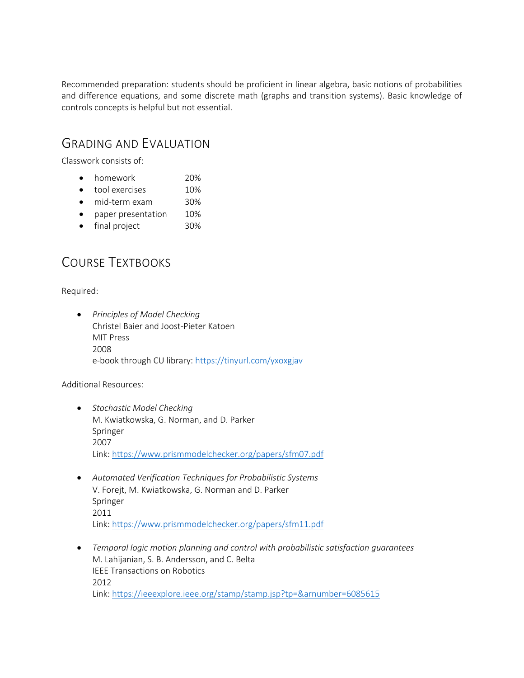Recommended preparation: students should be proficient in linear algebra, basic notions of probabilities and difference equations, and some discrete math (graphs and transition systems). Basic knowledge of controls concepts is helpful but not essential.

#### GRADING AND EVALUATION

Classwork consists of:

- homework 20%
- tool exercises 10%
- mid-term exam 30%
- paper presentation 10%
- final project 30%

## COURSE TEXTBOOKS

Required:

• *Principles of Model Checking* Christel Baier and Joost-Pieter Katoen MIT Press 2008 e-book through CU library: https://tinyurl.com/yxoxgjav

Additional Resources:

- *Stochastic Model Checking* M. Kwiatkowska, G. Norman, and D. Parker Springer 2007 Link: https://www.prismmodelchecker.org/papers/sfm07.pdf
- *Automated Verification Techniques for Probabilistic Systems* V. Forejt, M. Kwiatkowska, G. Norman and D. Parker Springer 2011 Link: https://www.prismmodelchecker.org/papers/sfm11.pdf
- *Temporal logic motion planning and control with probabilistic satisfaction guarantees* M. Lahijanian, S. B. Andersson, and C. Belta IEEE Transactions on Robotics 2012 Link: https://ieeexplore.ieee.org/stamp/stamp.jsp?tp=&arnumber=6085615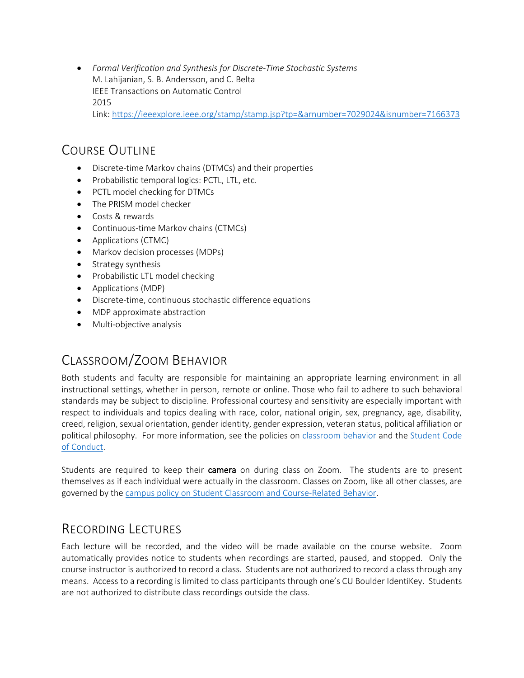• *Formal Verification and Synthesis for Discrete-Time Stochastic Systems* M. Lahijanian, S. B. Andersson, and C. Belta IEEE Transactions on Automatic Control 2015 Link: https://ieeexplore.ieee.org/stamp/stamp.jsp?tp=&arnumber=7029024&isnumber=7166373

#### COURSE OUTLINE

- Discrete-time Markov chains (DTMCs) and their properties
- Probabilistic temporal logics: PCTL, LTL, etc.
- PCTL model checking for DTMCs
- The PRISM model checker
- Costs & rewards
- Continuous-time Markov chains (CTMCs)
- Applications (CTMC)
- Markov decision processes (MDPs)
- Strategy synthesis
- Probabilistic LTL model checking
- Applications (MDP)
- Discrete-time, continuous stochastic difference equations
- MDP approximate abstraction
- Multi-objective analysis

## CLASSROOM/ZOOM BEHAVIOR

Both students and faculty are responsible for maintaining an appropriate learning environment in all instructional settings, whether in person, remote or online. Those who fail to adhere to such behavioral standards may be subject to discipline. Professional courtesy and sensitivity are especially important with respect to individuals and topics dealing with race, color, national origin, sex, pregnancy, age, disability, creed, religion, sexual orientation, gender identity, gender expression, veteran status, political affiliation or political philosophy. For more information, see the policies on classroom behavior and the Student Code of Conduct.

Students are required to keep their camera on during class on Zoom. The students are to present themselves as if each individual were actually in the classroom. Classes on Zoom, like all other classes, are governed by the campus policy on Student Classroom and Course-Related Behavior.

#### RECORDING LECTURES

Each lecture will be recorded, and the video will be made available on the course website. Zoom automatically provides notice to students when recordings are started, paused, and stopped. Only the course instructor is authorized to record a class. Students are not authorized to record a class through any means. Access to a recording is limited to class participants through one's CU Boulder IdentiKey. Students are not authorized to distribute class recordings outside the class.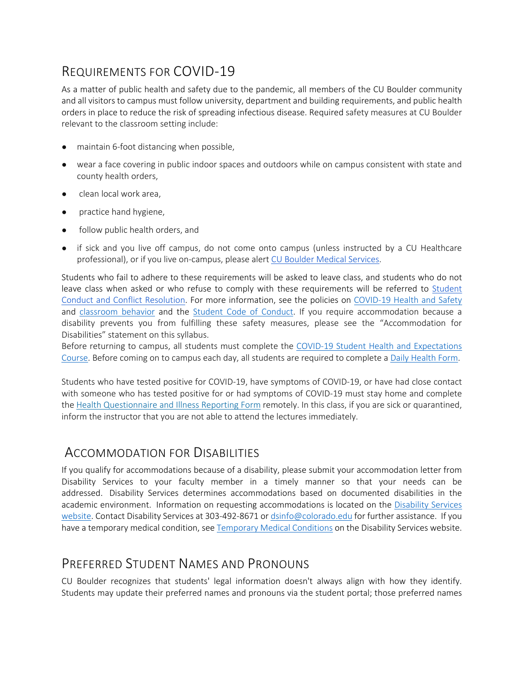# REQUIREMENTS FOR COVID-19

As a matter of public health and safety due to the pandemic, all members of the CU Boulder community and all visitors to campus must follow university, department and building requirements, and public health orders in place to reduce the risk of spreading infectious disease. Required safety measures at CU Boulder relevant to the classroom setting include:

- maintain 6-foot distancing when possible,
- wear a face covering in public indoor spaces and outdoors while on campus consistent with state and county health orders,
- clean local work area.
- practice hand hygiene,
- follow public health orders, and
- if sick and you live off campus, do not come onto campus (unless instructed by a CU Healthcare professional), or if you live on-campus, please alert CU Boulder Medical Services.

Students who fail to adhere to these requirements will be asked to leave class, and students who do not leave class when asked or who refuse to comply with these requirements will be referred to Student Conduct and Conflict Resolution. For more information, see the policies on COVID-19 Health and Safety and classroom behavior and the Student Code of Conduct. If you require accommodation because a disability prevents you from fulfilling these safety measures, please see the "Accommodation for Disabilities" statement on this syllabus.

Before returning to campus, all students must complete the COVID-19 Student Health and Expectations Course. Before coming on to campus each day, all students are required to complete a Daily Health Form.

Students who have tested positive for COVID-19, have symptoms of COVID-19, or have had close contact with someone who has tested positive for or had symptoms of COVID-19 must stay home and complete the Health Questionnaire and Illness Reporting Form remotely. In this class, if you are sick or quarantined, inform the instructor that you are not able to attend the lectures immediately.

#### ACCOMMODATION FOR DISABILITIES

If you qualify for accommodations because of a disability, please submit your accommodation letter from Disability Services to your faculty member in a timely manner so that your needs can be addressed. Disability Services determines accommodations based on documented disabilities in the academic environment. Information on requesting accommodations is located on the Disability Services website. Contact Disability Services at 303-492-8671 or dsinfo@colorado.edu for further assistance. If you have a temporary medical condition, see Temporary Medical Conditions on the Disability Services website.

## PREFERRED STUDENT NAMES AND PRONOUNS

CU Boulder recognizes that students' legal information doesn't always align with how they identify. Students may update their preferred names and pronouns via the student portal; those preferred names